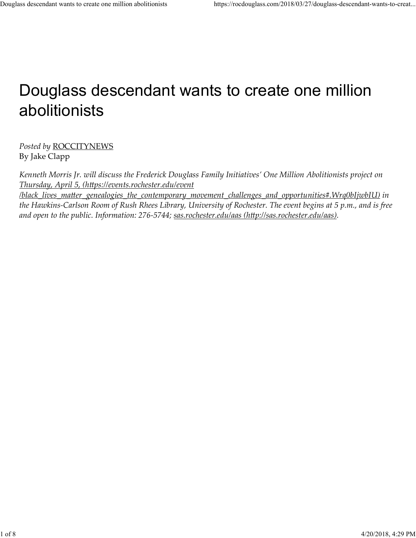## Douglass descendant wants to create one million abolitionists

Posted by ROCCITYNEWS By Jake Clapp

Kenneth Morris Jr. will discuss the Frederick Douglass Family Initiatives' One Million Abolitionists project on Thursday, April 5, (https://events.rochester.edu/event /black\_lives\_matter\_genealogies\_the\_contemporary\_movement\_challenges\_and\_opportunities#.Wrq0bIjwbIU) in the Hawkins-Carlson Room of Rush Rhees Library, University of Rochester. The event begins at 5 p.m., and is free and open to the public. Information: 276-5744; sas.rochester.edu/aas (http://sas.rochester.edu/aas).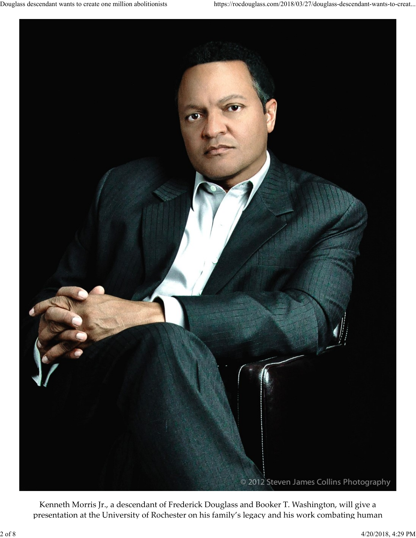

Kenneth Morris Jr., a descendant of Frederick Douglass and Booker T. Washington, will give a presentation at the University of Rochester on his family's legacy and his work combating human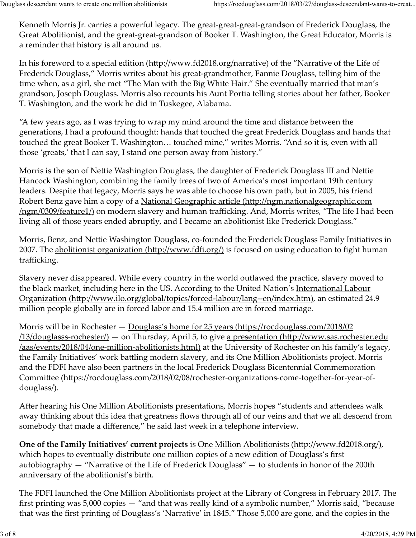Kenneth Morris Jr. carries a powerful legacy. The great-great-great-grandson of Frederick Douglass, the Great Abolitionist, and the great-great-grandson of Booker T. Washington, the Great Educator, Morris is a reminder that history is all around us. Douglass descendant wants to create one million abolitionists<br>
Kenneth Morris Jr. carries a powerful legacy. The great-great-great-grandson of Frederick Douglass, the<br>
Great Abolitionist, and the great-great-grandson of Bo

In his foreword to a special edition (http://www.fd2018.org/narrative) of the "Narrative of the Life of Frederick Douglass," Morris writes about his great-grandmother, Fannie Douglass, telling him of the time when, as a girl, she met "The Man with the Big White Hair." She eventually married that man's grandson, Joseph Douglass. Morris also recounts his Aunt Portia telling stories about her father, Booker T. Washington, and the work he did in Tuskegee, Alabama.

"A few years ago, as I was trying to wrap my mind around the time and distance between the generations, I had a profound thought: hands that touched the great Frederick Douglass and hands that touched the great Booker T. Washington… touched mine," writes Morris. "And so it is, even with all those 'greats,' that I can say, I stand one person away from history."

Morris is the son of Nettie Washington Douglass, the daughter of Frederick Douglass III and Nettie Hancock Washington, combining the family trees of two of America's most important 19th century leaders. Despite that legacy, Morris says he was able to choose his own path, but in 2005, his friend Robert Benz gave him a copy of a National Geographic article (http://ngm.nationalgeographic.com /ngm/0309/feature1/) on modern slavery and human trafficking. And, Morris writes, "The life I had been living all of those years ended abruptly, and I became an abolitionist like Frederick Douglass."

Morris, Benz, and NeĴie Washington Douglass, co-founded the Frederick Douglass Family Initiatives in 2007. The abolitionist organization (http://www.fdfi.org/) is focused on using education to fight human trafficking.

Slavery never disappeared. While every country in the world outlawed the practice, slavery moved to the black market, including here in the US. According to the United Nation's International Labour Organization (http://www.ilo.org/global/topics/forced-labour/lang--en/index.htm), an estimated 24.9 million people globally are in forced labor and 15.4 million are in forced marriage.

Morris will be in Rochester — <u>Douglass's home for 25 years (https://rocdouglass.com/2018/02</u>  $/13$ /douglasss-rochester $/$ ) — on Thursday, April 5, to give a presentation (http://www.sas.rochester.edu /aas/events/2018/04/one-million-abolitionists.html) at the University of Rochester on his family's legacy, the Family Initiatives' work battling modern slavery, and its One Million Abolitionists project. Morris and the FDFI have also been partners in the local Frederick Douglass Bicentennial Commemoration Committee (https://rocdouglass.com/2018/02/08/rochester-organizations-come-together-for-year-ofdouglass/).

After hearing his One Million Abolitionists presentations, Morris hopes "students and attendees walk away thinking about this idea that greatness flows through all of our veins and that we all descend from somebody that made a difference," he said last week in a telephone interview.

One of the Family Initiatives' current projects is <u>One Million Abolitionists (http://www.fd2018.org/)</u>, which hopes to eventually distribute one million copies of a new edition of Douglass's first autobiography — "Narrative of the Life of Frederick Douglass" — to students in honor of the 200th anniversary of the abolitionist's birth. and the FDFI have also been partners in the local Frederick Douglass Bicentennial Commemoration<br>and the FDFI have also been partners in the local Frederick Douglass Bicentennial Commemoration<br>Committee (https://rocdouglass

The FDFI launched the One Million Abolitionists project at the Library of Congress in February 2017. The first printing was 5,000 copies — "and that was really kind of a symbolic number," Morris said, "because that was the first printing of Douglass's 'Narrative' in 1845." Those 5,000 are gone, and the copies in the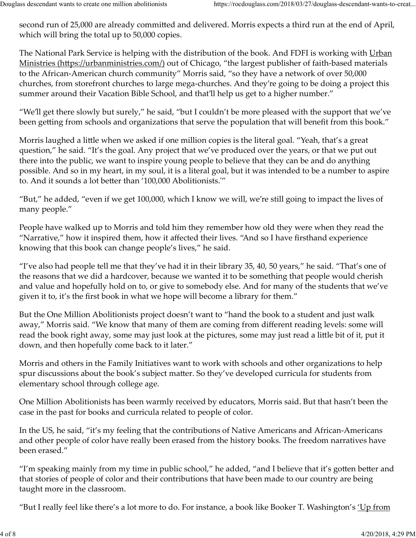second run of 25,000 are already committed and delivered. Morris expects a third run at the end of April, which will bring the total up to 50,000 copies. Douglass descendant wants to create one million abolitionists https://rocdouglass.com/2018/03/27/douglass-descendant-wants-to-creat...<br>second run of 25,000 are already committed and delivered. Morris expects a third run at

The National Park Service is helping with the distribution of the book. And FDFI is working with Urban Ministries (https://urbanministries.com/) out of Chicago, "the largest publisher of faith-based materials to the African-American church community" Morris said, "so they have a network of over 50,000 churches, from storefront churches to large mega-churches. And they're going to be doing a project this summer around their Vacation Bible School, and that'll help us get to a higher number."

"We'll get there slowly but surely," he said, "but I couldn't be more pleased with the support that we've been getting from schools and organizations that serve the population that will benefit from this book."

Morris laughed a little when we asked if one million copies is the literal goal. "Yeah, that's a great question," he said. "It's the goal. Any project that we've produced over the years, or that we put out there into the public, we want to inspire young people to believe that they can be and do anything possible. And so in my heart, in my soul, it is a literal goal, but it was intended to be a number to aspire to. And it sounds a lot better than '100,000 Abolitionists.<sup>'"</sup>

"But," he added, "even if we get 100,000, which I know we will, we're still going to impact the lives of many people."

People have walked up to Morris and told him they remember how old they were when they read the "Narrative," how it inspired them, how it affected their lives. "And so I have firsthand experience knowing that this book can change people's lives," he said.

"I've also had people tell me that they've had it in their library 35, 40, 50 years," he said. "That's one of the reasons that we did a hardcover, because we wanted it to be something that people would cherish and value and hopefully hold on to, or give to somebody else. And for many of the students that we've given it to, it's the first book in what we hope will become a library for them."

But the One Million Abolitionists project doesn't want to "hand the book to a student and just walk away," Morris said. "We know that many of them are coming from different reading levels: some will read the book right away, some may just look at the pictures, some may just read a little bit of it, put it down, and then hopefully come back to it later."

Morris and others in the Family Initiatives want to work with schools and other organizations to help spur discussions about the book's subject matter. So they've developed curricula for students from elementary school through college age.

One Million Abolitionists has been warmly received by educators, Morris said. But that hasn't been the case in the past for books and curricula related to people of color.

In the US, he said, "it's my feeling that the contributions of Native Americans and African-Americans and other people of color have really been erased from the history books. The freedom narratives have been erased."

"I'm speaking mainly from my time in public school," he added, "and I believe that it's gotten better and that stories of people of color and their contributions that have been made to our country are being taught more in the classroom. Morris and others in the Family Initiatives want to work with schools and other organizations to help<br>spur discussions about the book's subject matter. So they've developed curricula for students from<br>elementary school th

"But I really feel like there's a lot more to do. For instance, a book like Booker T. Washington's <u>'Up from</u>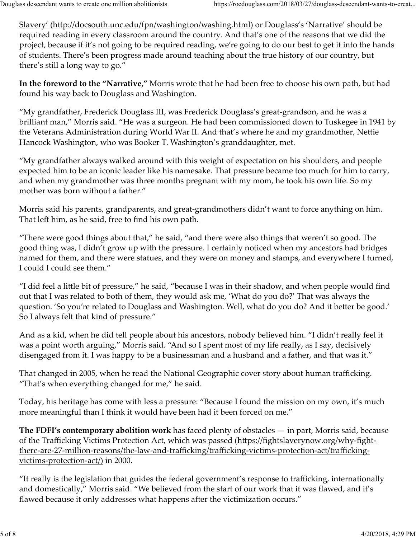Slavery' (http://docsouth.unc.edu/fpn/washington/washing.html) or Douglass's 'Narrative' should be required reading in every classroom around the country. And that's one of the reasons that we did the project, because if it's not going to be required reading, we're going to do our best to get it into the hands of students. There's been progress made around teaching about the true history of our country, but there's still a long way to go." Douglass descendant wants to create one million abolitionists<br>
Slavery' (http://docsouth.unc.edu/fpn/washington/washing.html) or Douglass's 'Narrative' should be<br>
required reading in every classroom around the country. And

In the foreword to the "Narrative," Morris wrote that he had been free to choose his own path, but had found his way back to Douglass and Washington.

"My grandfather, Frederick Douglass III, was Frederick Douglass's great-grandson, and he was a brilliant man," Morris said. "He was a surgeon. He had been commissioned down to Tuskegee in 1941 by the Veterans Administration during World War II. And that's where he and my grandmother, Nettie Hancock Washington, who was Booker T. Washington's granddaughter, met.

"My grandfather always walked around with this weight of expectation on his shoulders, and people expected him to be an iconic leader like his namesake. That pressure became too much for him to carry, and when my grandmother was three months pregnant with my mom, he took his own life. So my mother was born without a father."

Morris said his parents, grandparents, and great-grandmothers didn't want to force anything on him. That left him, as he said, free to find his own path.

"There were good things about that," he said, "and there were also things that weren't so good. The good thing was, I didn't grow up with the pressure. I certainly noticed when my ancestors had bridges named for them, and there were statues, and they were on money and stamps, and everywhere I turned, I could I could see them."

"I did feel a little bit of pressure," he said, "because I was in their shadow, and when people would find out that I was related to both of them, they would ask me, 'What do you do?' That was always the question. 'So you're related to Douglass and Washington. Well, what do you do? And it better be good.' So I always felt that kind of pressure."

And as a kid, when he did tell people about his ancestors, nobody believed him. "I didn't really feel it was a point worth arguing," Morris said. "And so I spent most of my life really, as I say, decisively disengaged from it. I was happy to be a businessman and a husband and a father, and that was it."

That changed in 2005, when he read the National Geographic cover story about human trafficking. "That's when everything changed for me," he said.

Today, his heritage has come with less a pressure: "Because I found the mission on my own, it's much more meaningful than I think it would have been had it been forced on me."

**The FDFI's contemporary abolition work** has faced plenty of obstacles  $-$  in part, Morris said, because of the Trafficking Victims Protection Act, which was passed (https://fightslaverynow.org/why-fightthere-are-27-million-reasons/the-law-and-trafficking/trafficking-victims-protection-act/traffickingvictims-protection-act/) in 2000. matrices and 12005, when he read the National Geographic cover story about human trafficking.<br>
"That's when everything changed for me," he said.<br>
Today, his heritage has come with less a pressure: "Because I found the miss

"It really is the legislation that guides the federal government's response to trafficking, internationally and domestically," Morris said. "We believed from the start of our work that it was flawed, and it's flawed because it only addresses what happens after the victimization occurs."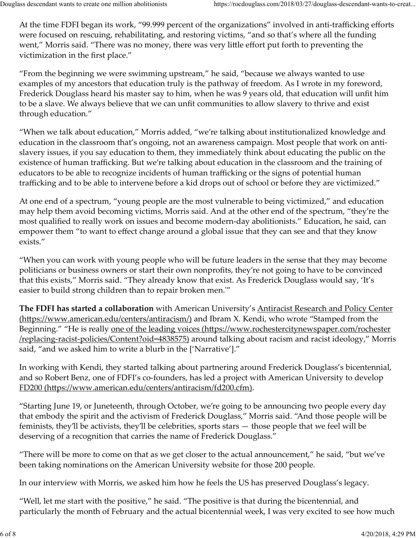At the time FDFI began its work, "99.999 percent of the organizations" involved in anti-trafficking efforts were focused on rescuing, rehabilitating, and restoring victims, "and so that's where all the funding went," Morris said. "There was no money, there was very little effort put forth to preventing the victimization in the first place." Douglass descendant wants to create one million abolitionists<br>
At the time FDFI began its work, "99.999 percent of the organizations" involved in anti-trafficking efforts<br>
were focused on rescuing, rehabilitating, and rest

"From the beginning we were swimming upstream," he said, "because we always wanted to use examples of my ancestors that education truly is the pathway of freedom. As I wrote in my foreword, Frederick Douglass heard his master say to him, when he was 9 years old, that education will unfit him to be a slave. We always believe that we can unfit communities to allow slavery to thrive and exist through education."

"When we talk about education," Morris added, "we're talking about institutionalized knowledge and education in the classroom that's ongoing, not an awareness campaign. Most people that work on antislavery issues, if you say education to them, they immediately think about educating the public on the existence of human trafficking. But we're talking about education in the classroom and the training of educators to be able to recognize incidents of human trafficking or the signs of potential human trafficking and to be able to intervene before a kid drops out of school or before they are victimized."

At one end of a spectrum, "young people are the most vulnerable to being victimized," and education may help them avoid becoming victims, Morris said. And at the other end of the spectrum, "they're the most qualified to really work on issues and become modern-day abolitionists." Education, he said, can empower them "to want to effect change around a global issue that they can see and that they know exists."

"When you can work with young people who will be future leaders in the sense that they may become politicians or business owners or start their own nonprofits, they're not going to have to be convinced that this exists," Morris said. "They already know that exist. As Frederick Douglass would say, 'It's easier to build strong children than to repair broken men.ʹ"

**The FDFI has started a collaboration** with American University's **Antiracist Research and Policy Center** (https://www.american.edu/centers/antiracism/) and Ibram X. Kendi, who wrote "Stamped from the Beginning." "He is really <u>one of the leading voices (https://www.rochestercitynewspaper.com/rochester</u> /replacing-racist-policies/Content?oid=4838575) around talking about racism and racist ideology," Morris said, "and we asked him to write a blurb in the ['Narrative']."

In working with Kendi, they started talking about partnering around Frederick Douglass's bicentennial, and so Robert Benz, one of FDFI's co-founders, has led a project with American University to develop FD200 (https://www.american.edu/centers/antiracism/fd200.cfm).

"Starting June 19, or Juneteenth, through October, we're going to be announcing two people every day that embody the spirit and the activism of Frederick Douglass," Morris said. "And those people will be feminists, they'll be activists, they'll be celebrities, sports stars — those people that we feel will be deserving of a recognition that carries the name of Frederick Douglass." In working with Kendi, they started talking about partnering around Frederick Douglass's bicentennial,<br>and so Robert Benz, one of FDFI's co-founders, has led a project with American University to develop<br>FD200 (https://ww

"There will be more to come on that as we get closer to the actual announcement," he said, "but we've been taking nominations on the American University website for those 200 people.

In our interview with Morris, we asked him how he feels the US has preserved Douglass's legacy.

"Well, let me start with the positive," he said. "The positive is that during the bicentennial, and particularly the month of February and the actual bicentennial week, I was very excited to see how much